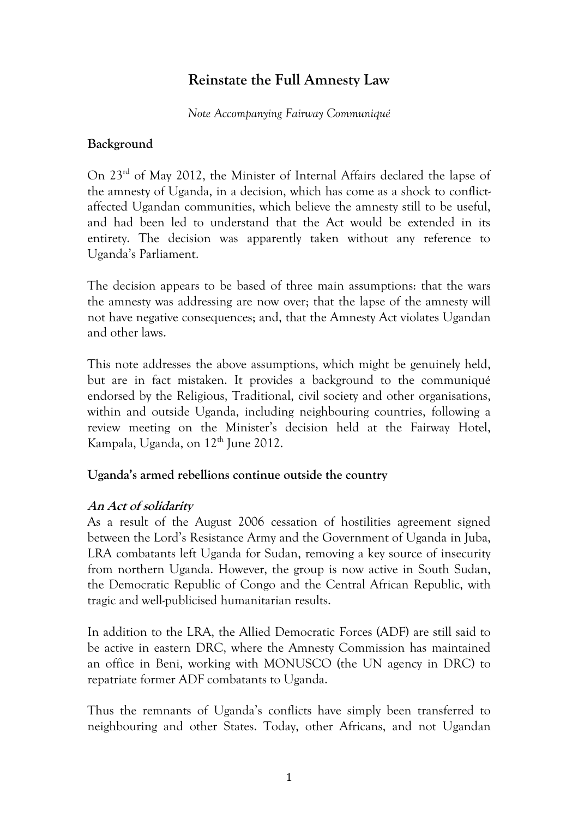# **Reinstate the Full Amnesty Law**

#### *Note Accompanying Fairway Communiqué*

## **Background**

On 23rd of May 2012, the Minister of Internal Affairs declared the lapse of the amnesty of Uganda, in a decision, which has come as a shock to conflictaffected Ugandan communities, which believe the amnesty still to be useful, and had been led to understand that the Act would be extended in its entirety. The decision was apparently taken without any reference to Uganda's Parliament.

The decision appears to be based of three main assumptions: that the wars the amnesty was addressing are now over; that the lapse of the amnesty will not have negative consequences; and, that the Amnesty Act violates Ugandan and other laws.

This note addresses the above assumptions, which might be genuinely held, but are in fact mistaken. It provides a background to the communiqué endorsed by the Religious, Traditional, civil society and other organisations, within and outside Uganda, including neighbouring countries, following a review meeting on the Minister's decision held at the Fairway Hotel, Kampala, Uganda, on  $12<sup>th</sup>$  June 2012.

### **Uganda's armed rebellions continue outside the country**

### **An Act of solidarity**

As a result of the August 2006 cessation of hostilities agreement signed between the Lord's Resistance Army and the Government of Uganda in Juba, LRA combatants left Uganda for Sudan, removing a key source of insecurity from northern Uganda. However, the group is now active in South Sudan, the Democratic Republic of Congo and the Central African Republic, with tragic and well-publicised humanitarian results.

In addition to the LRA, the Allied Democratic Forces (ADF) are still said to be active in eastern DRC, where the Amnesty Commission has maintained an office in Beni, working with MONUSCO (the UN agency in DRC) to repatriate former ADF combatants to Uganda.

Thus the remnants of Uganda's conflicts have simply been transferred to neighbouring and other States. Today, other Africans, and not Ugandan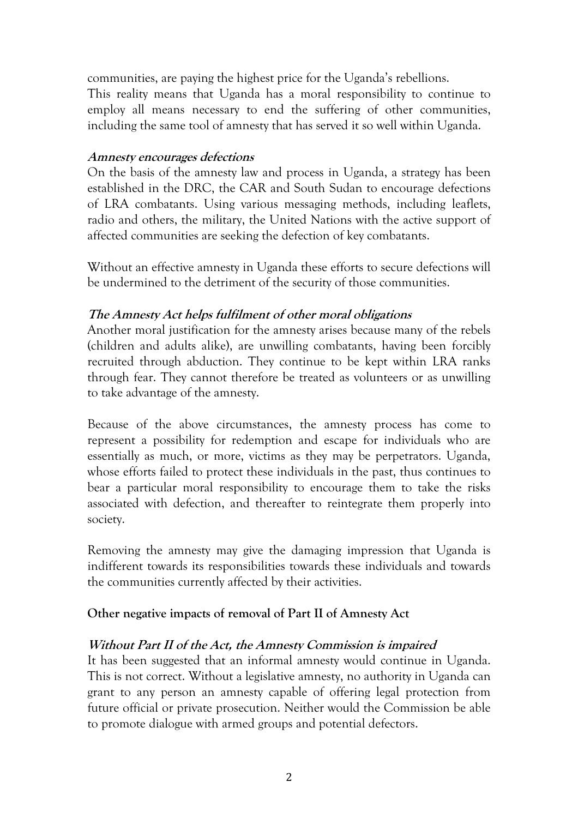communities, are paying the highest price for the Uganda's rebellions. This reality means that Uganda has a moral responsibility to continue to employ all means necessary to end the suffering of other communities, including the same tool of amnesty that has served it so well within Uganda.

#### **Amnesty encourages defections**

On the basis of the amnesty law and process in Uganda, a strategy has been established in the DRC, the CAR and South Sudan to encourage defections of LRA combatants. Using various messaging methods, including leaflets, radio and others, the military, the United Nations with the active support of affected communities are seeking the defection of key combatants.

Without an effective amnesty in Uganda these efforts to secure defections will be undermined to the detriment of the security of those communities.

### **The Amnesty Act helps fulfilment of other moral obligations**

Another moral justification for the amnesty arises because many of the rebels (children and adults alike), are unwilling combatants, having been forcibly recruited through abduction. They continue to be kept within LRA ranks through fear. They cannot therefore be treated as volunteers or as unwilling to take advantage of the amnesty.

Because of the above circumstances, the amnesty process has come to represent a possibility for redemption and escape for individuals who are essentially as much, or more, victims as they may be perpetrators. Uganda, whose efforts failed to protect these individuals in the past, thus continues to bear a particular moral responsibility to encourage them to take the risks associated with defection, and thereafter to reintegrate them properly into society.

Removing the amnesty may give the damaging impression that Uganda is indifferent towards its responsibilities towards these individuals and towards the communities currently affected by their activities.

### **Other negative impacts of removal of Part II of Amnesty Act**

### **Without Part II of the Act, the Amnesty Commission is impaired**

It has been suggested that an informal amnesty would continue in Uganda. This is not correct. Without a legislative amnesty, no authority in Uganda can grant to any person an amnesty capable of offering legal protection from future official or private prosecution. Neither would the Commission be able to promote dialogue with armed groups and potential defectors.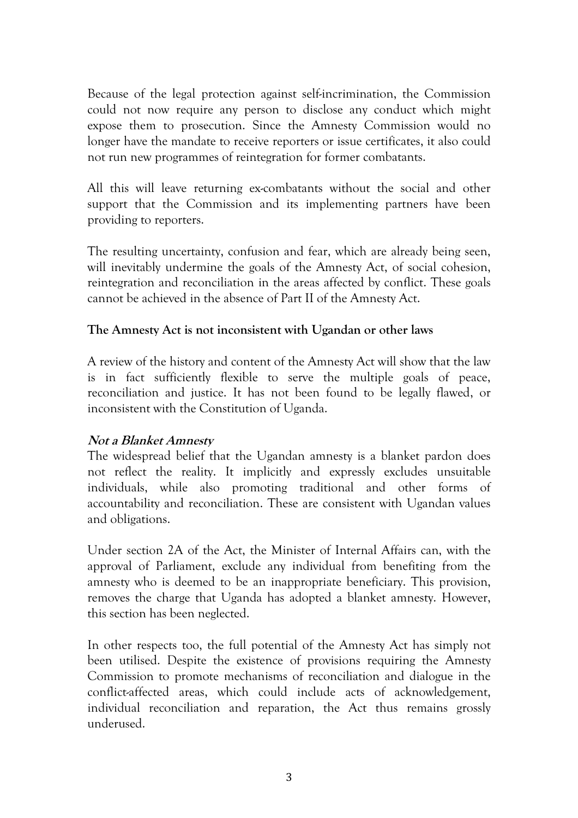Because of the legal protection against self-incrimination, the Commission could not now require any person to disclose any conduct which might expose them to prosecution. Since the Amnesty Commission would no longer have the mandate to receive reporters or issue certificates, it also could not run new programmes of reintegration for former combatants.

All this will leave returning ex-combatants without the social and other support that the Commission and its implementing partners have been providing to reporters.

The resulting uncertainty, confusion and fear, which are already being seen, will inevitably undermine the goals of the Amnesty Act, of social cohesion, reintegration and reconciliation in the areas affected by conflict. These goals cannot be achieved in the absence of Part II of the Amnesty Act.

#### **The Amnesty Act is not inconsistent with Ugandan or other laws**

A review of the history and content of the Amnesty Act will show that the law is in fact sufficiently flexible to serve the multiple goals of peace, reconciliation and justice. It has not been found to be legally flawed, or inconsistent with the Constitution of Uganda.

### **Not a Blanket Amnesty**

The widespread belief that the Ugandan amnesty is a blanket pardon does not reflect the reality. It implicitly and expressly excludes unsuitable individuals, while also promoting traditional and other forms of accountability and reconciliation. These are consistent with Ugandan values and obligations.

Under section 2A of the Act, the Minister of Internal Affairs can, with the approval of Parliament, exclude any individual from benefiting from the amnesty who is deemed to be an inappropriate beneficiary. This provision, removes the charge that Uganda has adopted a blanket amnesty. However, this section has been neglected.

In other respects too, the full potential of the Amnesty Act has simply not been utilised. Despite the existence of provisions requiring the Amnesty Commission to promote mechanisms of reconciliation and dialogue in the conflict-affected areas, which could include acts of acknowledgement, individual reconciliation and reparation, the Act thus remains grossly underused.